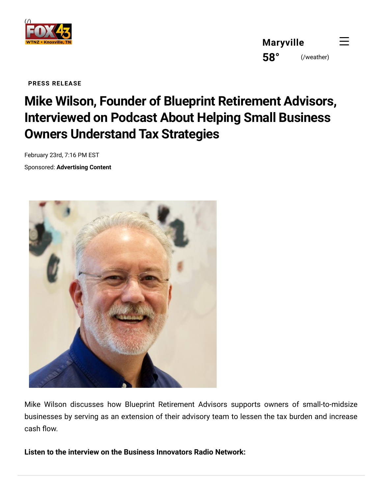

**[Maryville](https://www.wtnzfox43.com/weather) 58°** (/weather)

**PRESS RELEASE**

## **Mike Wilson, Founder of Blueprint Retirement Advisors, Interviewed on Podcast About Helping Small Business Owners Understand Tax Strategies**

February 23rd, 7:16 PM EST

Sponsored: **Advertising Content**



Mike Wilson discusses how Blueprint Retirement Advisors supports owners of small-to-midsize businesses by serving as an extension of their advisory team to lessen the tax burden and increase cash flow.

**Listen to the interview on the Business Innovators Radio Network:**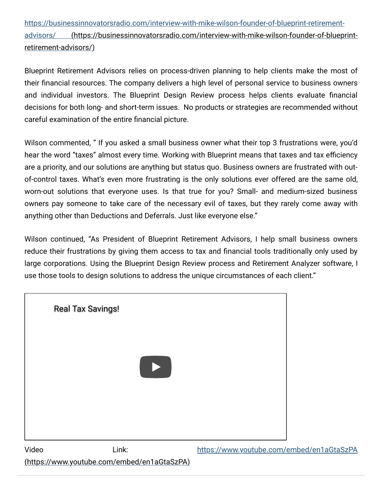[https://businessinnovatorsradio.com/interview-with-mike-wilson-founder-of-blueprint-retirement](https://businessinnovatorsradio.com/interview-with-mike-wilson-founder-of-blueprint-retirement-advisors/)advisors/ (https://businessinnovatorsradio.com/interview-with-mike-wilson-founder-of-blueprintretirement-advisors/)

Blueprint Retirement Advisors relies on process-driven planning to help clients make the most of their financial resources. The company delivers a high level of personal service to business owners and individual investors. The Blueprint Design Review process helps clients evaluate financial decisions for both long- and short-term issues. No products or strategies are recommended without careful examination of the entire financial picture.

Wilson commented, " If you asked a small business owner what their top 3 frustrations were, you'd hear the word "taxes" almost every time. Working with Blueprint means that taxes and tax efficiency are a priority, and our solutions are anything but status quo. Business owners are frustrated with outof-control taxes. What's even more frustrating is the only solutions ever offered are the same old, worn-out solutions that everyone uses. Is that true for you? Small- and medium-sized business owners pay someone to take care of the necessary evil of taxes, but they rarely come away with anything other than Deductions and Deferrals. Just like everyone else."

Wilson continued, "As President of Blueprint Retirement Advisors, I help small business owners reduce their frustrations by giving them access to tax and financial tools traditionally only used by large corporations. Using the Blueprint Design Review process and Retirement Analyzer software, I use those tools to design solutions to address the unique circumstances of each client."



(https://www.youtube.com/embed/en1aGtaSzPA)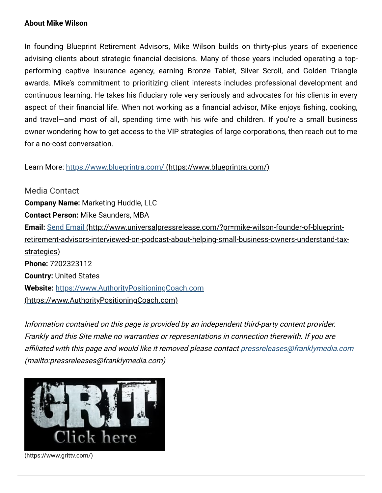## **About Mike Wilson**

In founding Blueprint Retirement Advisors, Mike Wilson builds on thirty-plus years of experience advising clients about strategic financial decisions. Many of those years included operating a topperforming captive insurance agency, earning Bronze Tablet, Silver Scroll, and Golden Triangle awards. Mike's commitment to prioritizing client interests includes professional development and continuous learning. He takes his fiduciary role very seriously and advocates for his clients in every aspect of their financial life. When not working as a financial advisor, Mike enjoys fishing, cooking, and travel—and most of all, spending time with his wife and children. If you're a small business owner wondering how to get access to the VIP strategies of large corporations, then reach out to me for a no-cost conversation.

Learn More: [https://www.blueprintra.com/ \(https://www.blueprintra.com/\)](https://www.blueprintra.com/)

Media Contact **Company Name:** Marketing Huddle, LLC **Contact Person:** Mike Saunders, MBA **Email:** Send Email (http://www.universalpressrelease.com/?pr=mike-wilson-founder-of-blueprint[retirement-advisors-interviewed-on-podcast-about-helping-small-business-owners-understand-tax](http://www.universalpressrelease.com/?pr=mike-wilson-founder-of-blueprint-retirement-advisors-interviewed-on-podcast-about-helping-small-business-owners-understand-tax-strategies)strategies) **Phone:** 7202323112 **Country:** United States **Website:** https://www.AuthorityPositioningCoach.com [\(https://www.AuthorityPositioningCoach.com\)](https://www.authoritypositioningcoach.com/)

Information contained on this page is provided by an independent third-party content provider. Frankly and this Site make no warranties or representations in connection therewith. If you are [affiliated with this page and would like it removed please contact pressreleases@franklymedia.com](mailto:pressreleases@franklymedia.com) (mailto:pressreleases@franklymedia.com)



[\(https://www.grittv.com/\)](https://www.grittv.com/)